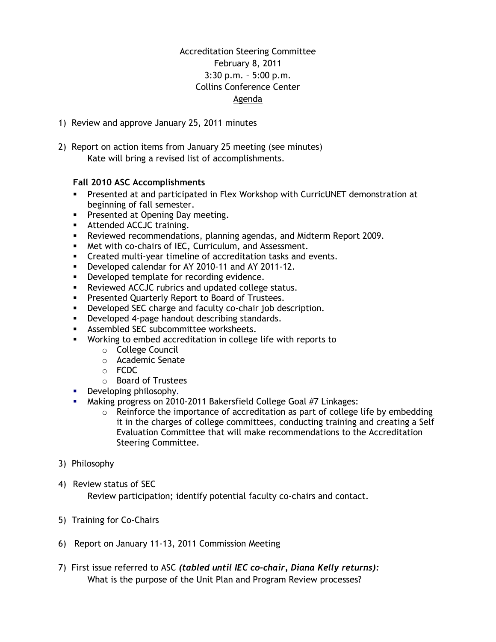## Accreditation Steering Committee February 8, 2011 3:30 p.m. – 5:00 p.m. Collins Conference Center Agenda

- 1) Review and approve January 25, 2011 minutes
- 2) Report on action items from January 25 meeting (see minutes) Kate will bring a revised list of accomplishments.

## **Fall 2010 ASC Accomplishments**

- Presented at and participated in Flex Workshop with CurricUNET demonstration at beginning of fall semester.
- **Presented at Opening Day meeting.**
- **Attended ACCJC training.**
- Reviewed recommendations, planning agendas, and Midterm Report 2009.
- Met with co-chairs of IEC, Curriculum, and Assessment.
- Created multi-year timeline of accreditation tasks and events.
- Developed calendar for AY 2010-11 and AY 2011-12.
- **•** Developed template for recording evidence.
- **Reviewed ACCJC rubrics and updated college status.**
- **Presented Quarterly Report to Board of Trustees.**
- **•** Developed SEC charge and faculty co-chair job description.
- **Developed 4-page handout describing standards.**
- **Assembled SEC subcommittee worksheets.**
- Working to embed accreditation in college life with reports to
	- o College Council
	- o Academic Senate
	- o FCDC
	- o Board of Trustees
- Developing philosophy*.*
- Making progress on 2010*-*2011 Bakersfield College Goal #7 Linkages:
	- o Reinforce the importance of accreditation as part of college life by embedding it in the charges of college committees, conducting training and creating a Self Evaluation Committee that will make recommendations to the Accreditation Steering Committee.
- 3) Philosophy
- 4) Review status of SEC

Review participation; identify potential faculty co-chairs and contact.

- 5) Training for Co-Chairs
- 6) Report on January 11-13, 2011 Commission Meeting
- 7) First issue referred to ASC *(tabled until IEC co-chair, Diana Kelly returns):* What is the purpose of the Unit Plan and Program Review processes?